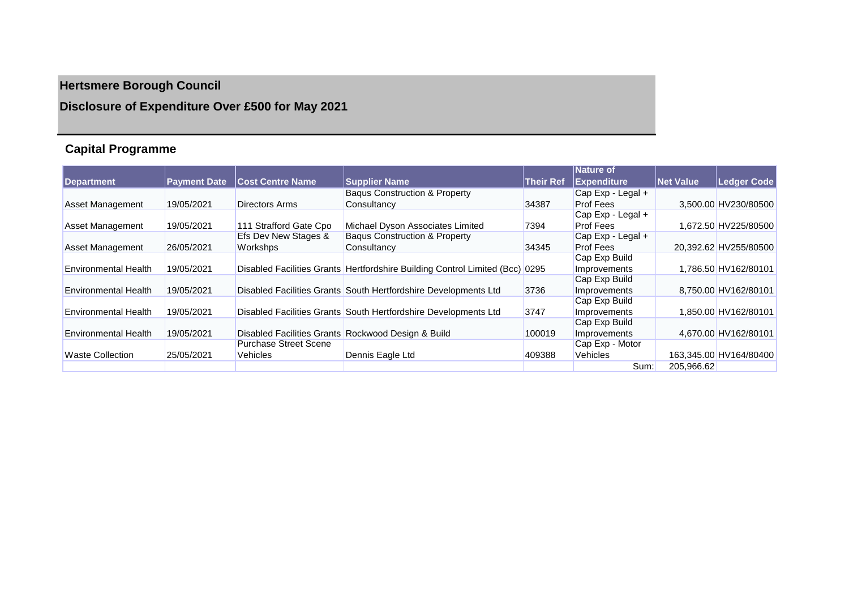# **Hertsmere Borough Council Disclosure of Expenditure Over £500 for May 2021**

#### **Capital Programme**

|                             |                     |                              |                                                                              |                  | <b>Nature of</b>   |                  |                        |
|-----------------------------|---------------------|------------------------------|------------------------------------------------------------------------------|------------------|--------------------|------------------|------------------------|
| Department                  | <b>Payment Date</b> | <b>Cost Centre Name</b>      | <b>Supplier Name</b>                                                         | <b>Their Ref</b> | <b>Expenditure</b> | <b>Net Value</b> | <b>Ledger Code</b>     |
|                             |                     |                              | <b>Bagus Construction &amp; Property</b>                                     |                  | Cap Exp - Legal +  |                  |                        |
| <b>Asset Management</b>     | 19/05/2021          | Directors Arms               | Consultancy                                                                  | 34387            | Prof Fees          |                  | 3,500.00 HV230/80500   |
|                             |                     |                              |                                                                              |                  | Cap Exp - Legal +  |                  |                        |
| <b>Asset Management</b>     | 19/05/2021          | 111 Strafford Gate Cpo       | Michael Dyson Associates Limited                                             | 7394             | Prof Fees          |                  | 1.672.50 HV225/80500   |
|                             |                     | Efs Dev New Stages &         | <b>Baqus Construction &amp; Property</b>                                     |                  | Cap Exp - Legal +  |                  |                        |
| <b>Asset Management</b>     | 26/05/2021          | Workshps                     | Consultancy                                                                  | 34345            | Prof Fees          |                  | 20,392.62 HV255/80500  |
|                             |                     |                              |                                                                              |                  | Cap Exp Build      |                  |                        |
| <b>Environmental Health</b> | 19/05/2021          |                              | Disabled Facilities Grants Hertfordshire Building Control Limited (Bcc) 0295 |                  | Improvements       |                  | 1,786.50 HV162/80101   |
|                             |                     |                              |                                                                              |                  | Cap Exp Build      |                  |                        |
| Environmental Health        | 19/05/2021          |                              | Disabled Facilities Grants South Hertfordshire Developments Ltd              | 3736             | Improvements       |                  | 8,750.00 HV162/80101   |
|                             |                     |                              |                                                                              |                  | Cap Exp Build      |                  |                        |
| <b>Environmental Health</b> | 19/05/2021          |                              | Disabled Facilities Grants South Hertfordshire Developments Ltd              | 3747             | Improvements       |                  | 1,850.00 HV162/80101   |
|                             |                     |                              |                                                                              |                  | Cap Exp Build      |                  |                        |
| Environmental Health        | 19/05/2021          |                              | Disabled Facilities Grants Rockwood Design & Build                           | 100019           | Improvements       |                  | 4,670.00 HV162/80101   |
|                             |                     | <b>Purchase Street Scene</b> |                                                                              |                  | Cap Exp - Motor    |                  |                        |
| <b>Waste Collection</b>     | 25/05/2021          | Vehicles                     | Dennis Eagle Ltd                                                             | 409388           | <b>Vehicles</b>    |                  | 163.345.00 HV164/80400 |
|                             |                     |                              |                                                                              |                  | Sum:               | 205,966.62       |                        |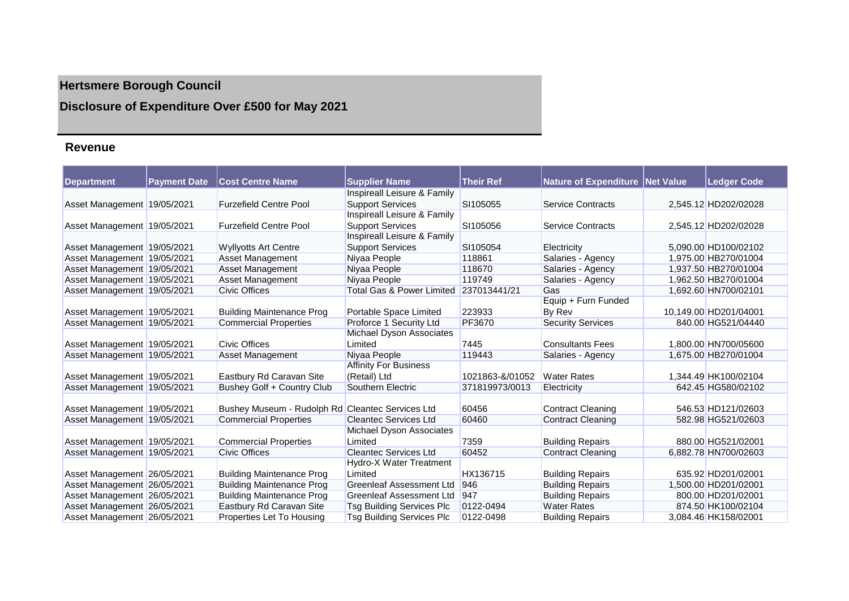## **Hertsmere Borough Council**

### **Disclosure of Expenditure Over £500 for May 2021**

#### **Revenue**

| Department                  | <b>Payment Date</b> | <b>Cost Centre Name</b>                          | <b>Supplier Name</b>                 | <b>Their Ref</b> | Nature of Expenditure   Net Value | <b>Ledger Code</b>    |
|-----------------------------|---------------------|--------------------------------------------------|--------------------------------------|------------------|-----------------------------------|-----------------------|
|                             |                     |                                                  | Inspireall Leisure & Family          |                  |                                   |                       |
| Asset Management 19/05/2021 |                     | <b>Furzefield Centre Pool</b>                    | <b>Support Services</b>              | SI105055         | <b>Service Contracts</b>          | 2,545.12 HD202/02028  |
|                             |                     |                                                  | Inspireall Leisure & Family          |                  |                                   |                       |
| Asset Management 19/05/2021 |                     | <b>Furzefield Centre Pool</b>                    | <b>Support Services</b>              | SI105056         | <b>Service Contracts</b>          | 2,545.12 HD202/02028  |
|                             |                     |                                                  | Inspireall Leisure & Family          |                  |                                   |                       |
| Asset Management 19/05/2021 |                     | <b>Wyllyotts Art Centre</b>                      | <b>Support Services</b>              | SI105054         | Electricity                       | 5,090.00 HD100/02102  |
| Asset Management 19/05/2021 |                     | Asset Management                                 | Niyaa People                         | 118861           | Salaries - Agency                 | 1,975.00 HB270/01004  |
| Asset Management 19/05/2021 |                     | Asset Management                                 | Niyaa People                         | 118670           | Salaries - Agency                 | 1,937.50 HB270/01004  |
| Asset Management 19/05/2021 |                     | <b>Asset Management</b>                          | Niyaa People                         | 119749           | Salaries - Agency                 | 1,962.50 HB270/01004  |
| Asset Management 19/05/2021 |                     | <b>Civic Offices</b>                             | <b>Total Gas &amp; Power Limited</b> | 237013441/21     | Gas                               | 1,692.60 HN700/02101  |
|                             |                     |                                                  |                                      |                  | Equip + Furn Funded               |                       |
| Asset Management 19/05/2021 |                     | <b>Building Maintenance Prog</b>                 | Portable Space Limited               | 223933           | By Rev                            | 10,149.00 HD201/04001 |
| Asset Management 19/05/2021 |                     | <b>Commercial Properties</b>                     | Proforce 1 Security Ltd              | PF3670           | <b>Security Services</b>          | 840.00 HG521/04440    |
|                             |                     |                                                  | <b>Michael Dyson Associates</b>      |                  |                                   |                       |
| Asset Management 19/05/2021 |                     | Civic Offices                                    | Limited                              | 7445             | <b>Consultants Fees</b>           | 1,800.00 HN700/05600  |
| Asset Management 19/05/2021 |                     | Asset Management                                 | Niyaa People                         | 119443           | Salaries - Agency                 | 1,675.00 HB270/01004  |
|                             |                     |                                                  | <b>Affinity For Business</b>         |                  |                                   |                       |
| Asset Management 19/05/2021 |                     | Eastbury Rd Caravan Site                         | (Retail) Ltd                         | 1021863-&/01052  | <b>Water Rates</b>                | 1,344.49 HK100/02104  |
| Asset Management 19/05/2021 |                     | Bushey Golf + Country Club                       | Southern Electric                    | 371819973/0013   | Electricity                       | 642.45 HG580/02102    |
|                             |                     |                                                  |                                      |                  |                                   |                       |
| Asset Management 19/05/2021 |                     | Bushey Museum - Rudolph Rd Cleantec Services Ltd |                                      | 60456            | <b>Contract Cleaning</b>          | 546.53 HD121/02603    |
| Asset Management 19/05/2021 |                     | <b>Commercial Properties</b>                     | <b>Cleantec Services Ltd</b>         | 60460            | <b>Contract Cleaning</b>          | 582.98 HG521/02603    |
|                             |                     |                                                  | Michael Dyson Associates             |                  |                                   |                       |
| Asset Management 19/05/2021 |                     | <b>Commercial Properties</b>                     | Limited                              | 7359             | <b>Building Repairs</b>           | 880.00 HG521/02001    |
| Asset Management 19/05/2021 |                     | Civic Offices                                    | <b>Cleantec Services Ltd</b>         | 60452            | <b>Contract Cleaning</b>          | 6,882.78 HN700/02603  |
|                             |                     |                                                  | Hydro-X Water Treatment              |                  |                                   |                       |
| Asset Management 26/05/2021 |                     | <b>Building Maintenance Prog</b>                 | Limited                              | HX136715         | <b>Building Repairs</b>           | 635.92 HD201/02001    |
| Asset Management 26/05/2021 |                     | <b>Building Maintenance Prog</b>                 | <b>Greenleaf Assessment Ltd</b>      | 946              | <b>Building Repairs</b>           | 1,500.00 HD201/02001  |
| Asset Management 26/05/2021 |                     | <b>Building Maintenance Prog</b>                 | Greenleaf Assessment Ltd             | 947              | <b>Building Repairs</b>           | 800.00 HD201/02001    |
| Asset Management 26/05/2021 |                     | Eastbury Rd Caravan Site                         | <b>Tsg Building Services Plc</b>     | 0122-0494        | <b>Water Rates</b>                | 874.50 HK100/02104    |
| Asset Management 26/05/2021 |                     | Properties Let To Housing                        | <b>Tsg Building Services Plc</b>     | 0122-0498        | <b>Building Repairs</b>           | 3,084.46 HK158/02001  |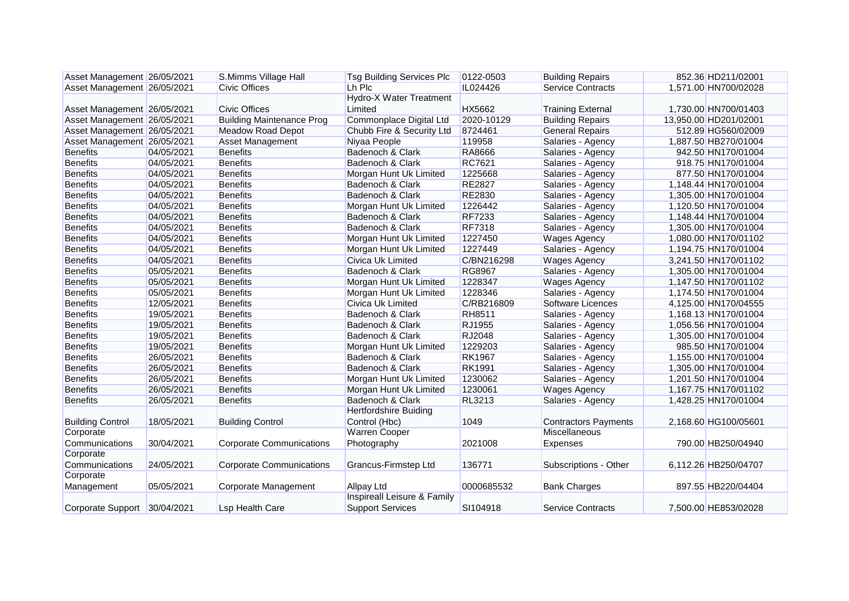| Asset Management 26/05/2021  |            | S.Mimms Village Hall             | <b>Tsg Building Services Plc</b> | 0122-0503     | <b>Building Repairs</b>     | 852.36 HD211/02001    |
|------------------------------|------------|----------------------------------|----------------------------------|---------------|-----------------------------|-----------------------|
| Asset Management 26/05/2021  |            | <b>Civic Offices</b>             | Lh Plc                           | IL024426      | <b>Service Contracts</b>    | 1,571.00 HN700/02028  |
|                              |            |                                  | Hydro-X Water Treatment          |               |                             |                       |
| Asset Management 26/05/2021  |            | <b>Civic Offices</b>             | Limited                          | <b>HX5662</b> | <b>Training External</b>    | 1,730.00 HN700/01403  |
| Asset Management 26/05/2021  |            | <b>Building Maintenance Prog</b> | Commonplace Digital Ltd          | 2020-10129    | <b>Building Repairs</b>     | 13,950.00 HD201/02001 |
| Asset Management 26/05/2021  |            | <b>Meadow Road Depot</b>         | Chubb Fire & Security Ltd        | 8724461       | <b>General Repairs</b>      | 512.89 HG560/02009    |
| Asset Management 26/05/2021  |            | <b>Asset Management</b>          | Niyaa People                     | 119958        | Salaries - Agency           | 1,887.50 HB270/01004  |
| <b>Benefits</b>              | 04/05/2021 | <b>Benefits</b>                  | Badenoch & Clark                 | <b>RA8666</b> | Salaries - Agency           | 942.50 HN170/01004    |
| <b>Benefits</b>              | 04/05/2021 | <b>Benefits</b>                  | Badenoch & Clark                 | <b>RC7621</b> | Salaries - Agency           | 918.75 HN170/01004    |
| <b>Benefits</b>              | 04/05/2021 | <b>Benefits</b>                  | Morgan Hunt Uk Limited           | 1225668       | Salaries - Agency           | 877.50 HN170/01004    |
| <b>Benefits</b>              | 04/05/2021 | <b>Benefits</b>                  | Badenoch & Clark                 | <b>RE2827</b> | Salaries - Agency           | 1,148.44 HN170/01004  |
| <b>Benefits</b>              | 04/05/2021 | <b>Benefits</b>                  | Badenoch & Clark                 | <b>RE2830</b> | Salaries - Agency           | 1,305.00 HN170/01004  |
| <b>Benefits</b>              | 04/05/2021 | <b>Benefits</b>                  | Morgan Hunt Uk Limited           | 1226442       | Salaries - Agency           | 1,120.50 HN170/01004  |
| <b>Benefits</b>              | 04/05/2021 | <b>Benefits</b>                  | Badenoch & Clark                 | <b>RF7233</b> | Salaries - Agency           | 1,148.44 HN170/01004  |
| <b>Benefits</b>              | 04/05/2021 | <b>Benefits</b>                  | Badenoch & Clark                 | <b>RF7318</b> | Salaries - Agency           | 1,305.00 HN170/01004  |
| <b>Benefits</b>              | 04/05/2021 | <b>Benefits</b>                  | Morgan Hunt Uk Limited           | 1227450       | <b>Wages Agency</b>         | 1,080.00 HN170/01102  |
| <b>Benefits</b>              | 04/05/2021 | <b>Benefits</b>                  | Morgan Hunt Uk Limited           | 1227449       | Salaries - Agency           | 1,194.75 HN170/01004  |
| <b>Benefits</b>              | 04/05/2021 | <b>Benefits</b>                  | Civica Uk Limited                | C/BN216298    | <b>Wages Agency</b>         | 3,241.50 HN170/01102  |
| <b>Benefits</b>              | 05/05/2021 | <b>Benefits</b>                  | Badenoch & Clark                 | <b>RG8967</b> | Salaries - Agency           | 1,305.00 HN170/01004  |
| <b>Benefits</b>              | 05/05/2021 | <b>Benefits</b>                  | Morgan Hunt Uk Limited           | 1228347       | <b>Wages Agency</b>         | 1,147.50 HN170/01102  |
| <b>Benefits</b>              | 05/05/2021 | <b>Benefits</b>                  | Morgan Hunt Uk Limited           | 1228346       | Salaries - Agency           | 1,174.50 HN170/01004  |
| <b>Benefits</b>              | 12/05/2021 | <b>Benefits</b>                  | Civica Uk Limited                | C/RB216809    | Software Licences           | 4,125.00 HN170/04555  |
| <b>Benefits</b>              | 19/05/2021 | <b>Benefits</b>                  | Badenoch & Clark                 | RH8511        | Salaries - Agency           | 1,168.13 HN170/01004  |
| <b>Benefits</b>              | 19/05/2021 | <b>Benefits</b>                  | Badenoch & Clark                 | RJ1955        | Salaries - Agency           | 1,056.56 HN170/01004  |
| <b>Benefits</b>              | 19/05/2021 | <b>Benefits</b>                  | Badenoch & Clark                 | RJ2048        | Salaries - Agency           | 1,305.00 HN170/01004  |
| <b>Benefits</b>              | 19/05/2021 | <b>Benefits</b>                  | Morgan Hunt Uk Limited           | 1229203       | Salaries - Agency           | 985.50 HN170/01004    |
| <b>Benefits</b>              | 26/05/2021 | <b>Benefits</b>                  | Badenoch & Clark                 | <b>RK1967</b> | Salaries - Agency           | 1,155.00 HN170/01004  |
| <b>Benefits</b>              | 26/05/2021 | <b>Benefits</b>                  | Badenoch & Clark                 | <b>RK1991</b> | Salaries - Agency           | 1,305.00 HN170/01004  |
| <b>Benefits</b>              | 26/05/2021 | <b>Benefits</b>                  | Morgan Hunt Uk Limited           | 1230062       | Salaries - Agency           | 1,201.50 HN170/01004  |
| <b>Benefits</b>              | 26/05/2021 | <b>Benefits</b>                  | Morgan Hunt Uk Limited           | 1230061       | <b>Wages Agency</b>         | 1,167.75 HN170/01102  |
| <b>Benefits</b>              | 26/05/2021 | <b>Benefits</b>                  | Badenoch & Clark                 | <b>RL3213</b> | Salaries - Agency           | 1,428.25 HN170/01004  |
|                              |            |                                  | <b>Hertfordshire Buiding</b>     |               |                             |                       |
| <b>Building Control</b>      | 18/05/2021 | <b>Building Control</b>          | Control (Hbc)                    | 1049          | <b>Contractors Payments</b> | 2,168.60 HG100/05601  |
| Corporate                    |            |                                  | <b>Warren Cooper</b>             |               | <b>Miscellaneous</b>        |                       |
| Communications               | 30/04/2021 | <b>Corporate Communications</b>  | Photography                      | 2021008       | Expenses                    | 790.00 HB250/04940    |
| Corporate                    |            |                                  |                                  |               |                             |                       |
| Communications               | 24/05/2021 | <b>Corporate Communications</b>  | Grancus-Firmstep Ltd             | 136771        | Subscriptions - Other       | 6,112.26 HB250/04707  |
| Corporate                    |            |                                  |                                  |               |                             |                       |
| Management                   | 05/05/2021 | Corporate Management             | Allpay Ltd                       | 0000685532    | <b>Bank Charges</b>         | 897.55 HB220/04404    |
|                              |            |                                  | Inspireall Leisure & Family      |               |                             |                       |
| Corporate Support 30/04/2021 |            | Lsp Health Care                  | <b>Support Services</b>          | SI104918      | <b>Service Contracts</b>    | 7,500.00 HE853/02028  |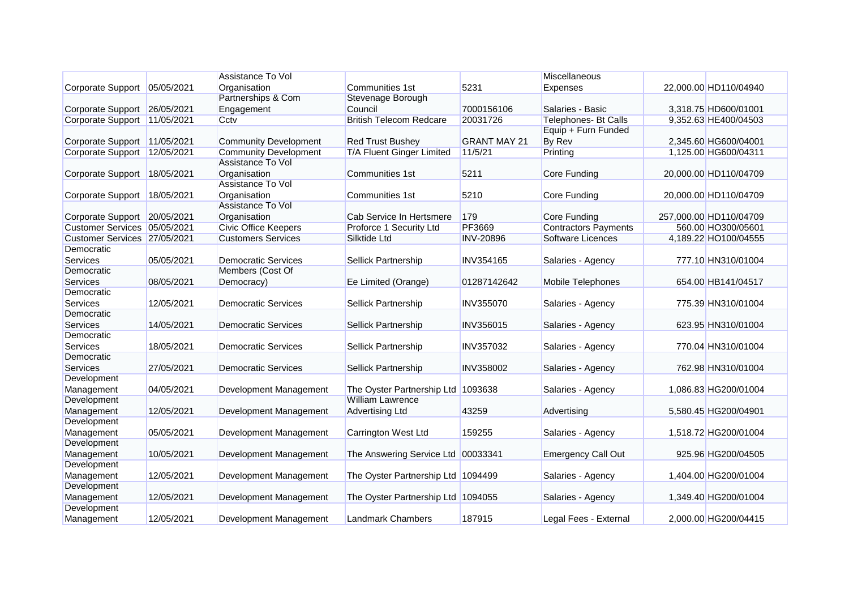|                              |            | Assistance To Vol            |                                    |                     | <b>Miscellaneous</b>        |                        |
|------------------------------|------------|------------------------------|------------------------------------|---------------------|-----------------------------|------------------------|
| Corporate Support            | 05/05/2021 | Organisation                 | Communities 1st                    | 5231                | Expenses                    | 22,000.00 HD110/04940  |
|                              |            | Partnerships & Com           | Stevenage Borough                  |                     |                             |                        |
| Corporate Support            | 26/05/2021 | Engagement                   | Council                            | 7000156106          | Salaries - Basic            | 3,318.75 HD600/01001   |
| Corporate Support            | 11/05/2021 | Cctv                         | <b>British Telecom Redcare</b>     | 20031726            | <b>Telephones- Bt Calls</b> | 9,352.63 HE400/04503   |
|                              |            |                              |                                    |                     | Equip + Furn Funded         |                        |
| Corporate Support            | 11/05/2021 | <b>Community Development</b> | <b>Red Trust Bushey</b>            | <b>GRANT MAY 21</b> | By Rev                      | 2.345.60 HG600/04001   |
| Corporate Support            | 12/05/2021 | <b>Community Development</b> | T/A Fluent Ginger Limited          | 11/5/21             | Printing                    | 1,125.00 HG600/04311   |
|                              |            | <b>Assistance To Vol</b>     |                                    |                     |                             |                        |
| Corporate Support            | 18/05/2021 | Organisation                 | Communities 1st                    | 5211                | Core Funding                | 20,000.00 HD110/04709  |
|                              |            | <b>Assistance To Vol</b>     |                                    |                     |                             |                        |
| Corporate Support            | 18/05/2021 | Organisation                 | <b>Communities 1st</b>             | 5210                | Core Funding                | 20,000.00 HD110/04709  |
|                              |            | <b>Assistance To Vol</b>     |                                    |                     |                             |                        |
| Corporate Support            | 20/05/2021 | Organisation                 | Cab Service In Hertsmere           | 179                 | Core Funding                | 257,000.00 HD110/04709 |
| Customer Services 05/05/2021 |            | <b>Civic Office Keepers</b>  | Proforce 1 Security Ltd            | PF3669              | <b>Contractors Payments</b> | 560.00 HO300/05601     |
| Customer Services 27/05/2021 |            | <b>Customers Services</b>    | Silktide Ltd                       | <b>INV-20896</b>    | <b>Software Licences</b>    | 4,189.22 HO100/04555   |
| Democratic                   |            |                              |                                    |                     |                             |                        |
| Services                     | 05/05/2021 | <b>Democratic Services</b>   | Sellick Partnership                | <b>INV354165</b>    | Salaries - Agency           | 777.10 HN310/01004     |
| Democratic                   |            | Members (Cost Of             |                                    |                     |                             |                        |
| Services                     | 08/05/2021 | Democracy)                   | Ee Limited (Orange)                | 01287142642         | Mobile Telephones           | 654.00 HB141/04517     |
| Democratic                   |            |                              |                                    |                     |                             |                        |
| Services                     | 12/05/2021 | <b>Democratic Services</b>   | Sellick Partnership                | <b>INV355070</b>    | Salaries - Agency           | 775.39 HN310/01004     |
| Democratic                   |            |                              |                                    |                     |                             |                        |
| Services                     | 14/05/2021 | <b>Democratic Services</b>   | <b>Sellick Partnership</b>         | <b>INV356015</b>    | Salaries - Agency           | 623.95 HN310/01004     |
| Democratic                   |            |                              |                                    |                     |                             |                        |
| Services                     | 18/05/2021 | <b>Democratic Services</b>   | <b>Sellick Partnership</b>         | <b>INV357032</b>    | Salaries - Agency           | 770.04 HN310/01004     |
| Democratic                   |            |                              |                                    |                     |                             |                        |
| Services                     | 27/05/2021 | <b>Democratic Services</b>   | Sellick Partnership                | <b>INV358002</b>    | Salaries - Agency           | 762.98 HN310/01004     |
| Development                  |            |                              |                                    |                     |                             |                        |
| Management                   | 04/05/2021 | Development Management       | The Oyster Partnership Ltd 1093638 |                     | Salaries - Agency           | 1,086.83 HG200/01004   |
| Development                  |            |                              | <b>William Lawrence</b>            |                     |                             |                        |
| Management                   | 12/05/2021 | Development Management       | <b>Advertising Ltd</b>             | 43259               | Advertising                 | 5,580.45 HG200/04901   |
| Development                  |            |                              |                                    |                     |                             |                        |
| Management                   | 05/05/2021 | Development Management       | Carrington West Ltd                | 159255              | Salaries - Agency           | 1,518.72 HG200/01004   |
| Development                  |            |                              |                                    |                     |                             |                        |
| Management                   | 10/05/2021 | Development Management       | The Answering Service Ltd 00033341 |                     | <b>Emergency Call Out</b>   | 925.96 HG200/04505     |
| Development                  |            |                              |                                    |                     |                             |                        |
| Management                   | 12/05/2021 | Development Management       | The Oyster Partnership Ltd 1094499 |                     | Salaries - Agency           | 1,404.00 HG200/01004   |
| Development                  |            |                              |                                    |                     |                             |                        |
| Management                   | 12/05/2021 | Development Management       | The Oyster Partnership Ltd 1094055 |                     | Salaries - Agency           | 1,349.40 HG200/01004   |
| Development                  |            |                              |                                    | 187915              |                             |                        |
| Management                   | 12/05/2021 | Development Management       | Landmark Chambers                  |                     | Legal Fees - External       | 2,000.00 HG200/04415   |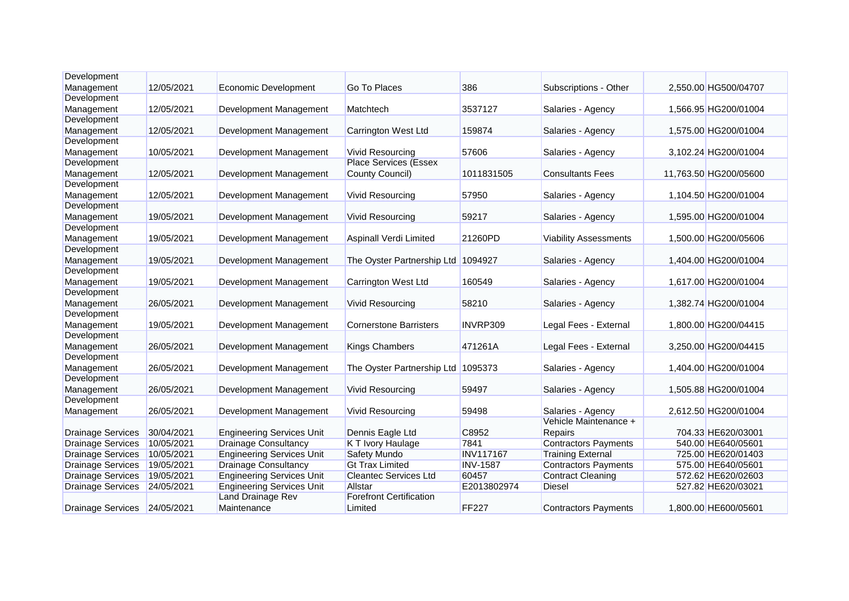| Development              |            |                                  |                                    |                  |                              |                       |
|--------------------------|------------|----------------------------------|------------------------------------|------------------|------------------------------|-----------------------|
| Management               | 12/05/2021 | Economic Development             | Go To Places                       | 386              | Subscriptions - Other        | 2,550.00 HG500/04707  |
| Development              |            |                                  |                                    |                  |                              |                       |
| Management               | 12/05/2021 | Development Management           | Matchtech                          | 3537127          | Salaries - Agency            | 1,566.95 HG200/01004  |
| Development              |            |                                  |                                    |                  |                              |                       |
| Management               | 12/05/2021 | Development Management           | Carrington West Ltd                | 159874           | Salaries - Agency            | 1,575.00 HG200/01004  |
| Development              |            |                                  |                                    |                  |                              |                       |
| Management               | 10/05/2021 | Development Management           | <b>Vivid Resourcing</b>            | 57606            | Salaries - Agency            | 3,102.24 HG200/01004  |
| Development              |            |                                  | <b>Place Services (Essex</b>       |                  |                              |                       |
| Management               | 12/05/2021 | Development Management           | County Council)                    | 1011831505       | <b>Consultants Fees</b>      | 11,763.50 HG200/05600 |
| Development              |            |                                  |                                    |                  |                              |                       |
| Management               | 12/05/2021 | Development Management           | <b>Vivid Resourcing</b>            | 57950            | Salaries - Agency            | 1,104.50 HG200/01004  |
| Development              |            |                                  |                                    |                  |                              |                       |
| Management               | 19/05/2021 | Development Management           | <b>Vivid Resourcing</b>            | 59217            | Salaries - Agency            | 1,595.00 HG200/01004  |
| Development              |            |                                  |                                    |                  |                              |                       |
| Management               | 19/05/2021 | Development Management           | Aspinall Verdi Limited             | 21260PD          | <b>Viability Assessments</b> | 1,500.00 HG200/05606  |
| Development              |            |                                  |                                    |                  |                              |                       |
| Management               | 19/05/2021 | Development Management           | The Oyster Partnership Ltd 1094927 |                  | Salaries - Agency            | 1,404.00 HG200/01004  |
| Development              |            |                                  |                                    |                  |                              |                       |
| Management               | 19/05/2021 | Development Management           | Carrington West Ltd                | 160549           | Salaries - Agency            | 1,617.00 HG200/01004  |
| Development              |            |                                  |                                    |                  |                              |                       |
| Management               | 26/05/2021 | Development Management           | <b>Vivid Resourcing</b>            | 58210            | Salaries - Agency            | 1,382.74 HG200/01004  |
| Development              |            |                                  |                                    |                  |                              |                       |
| Management               | 19/05/2021 | Development Management           | <b>Cornerstone Barristers</b>      | INVRP309         | Legal Fees - External        | 1,800.00 HG200/04415  |
| Development              |            |                                  |                                    |                  |                              |                       |
| Management               | 26/05/2021 | Development Management           | <b>Kings Chambers</b>              | 471261A          | Legal Fees - External        | 3,250.00 HG200/04415  |
| Development              |            |                                  |                                    |                  |                              |                       |
| Management               | 26/05/2021 | Development Management           | The Oyster Partnership Ltd 1095373 |                  | Salaries - Agency            | 1,404.00 HG200/01004  |
| Development              |            |                                  |                                    |                  |                              |                       |
| Management               | 26/05/2021 | Development Management           | <b>Vivid Resourcing</b>            | 59497            | Salaries - Agency            | 1,505.88 HG200/01004  |
| Development              |            |                                  |                                    |                  |                              |                       |
| Management               | 26/05/2021 | Development Management           | <b>Vivid Resourcing</b>            | 59498            | Salaries - Agency            | 2,612.50 HG200/01004  |
|                          |            |                                  |                                    |                  | Vehicle Maintenance +        |                       |
| <b>Drainage Services</b> | 30/04/2021 | <b>Engineering Services Unit</b> | Dennis Eagle Ltd                   | C8952            | Repairs                      | 704.33 HE620/03001    |
| <b>Drainage Services</b> | 10/05/2021 | <b>Drainage Consultancy</b>      | K T Ivory Haulage                  | 7841             | <b>Contractors Payments</b>  | 540.00 HE640/05601    |
| <b>Drainage Services</b> | 10/05/2021 | <b>Engineering Services Unit</b> | <b>Safety Mundo</b>                | <b>INV117167</b> | <b>Training External</b>     | 725.00 HE620/01403    |
| <b>Drainage Services</b> | 19/05/2021 | <b>Drainage Consultancy</b>      | <b>Gt Trax Limited</b>             | <b>INV-1587</b>  | <b>Contractors Payments</b>  | 575.00 HE640/05601    |
| <b>Drainage Services</b> | 19/05/2021 | <b>Engineering Services Unit</b> | <b>Cleantec Services Ltd</b>       | 60457            | <b>Contract Cleaning</b>     | 572.62 HE620/02603    |
| <b>Drainage Services</b> | 24/05/2021 | <b>Engineering Services Unit</b> | Allstar                            | E2013802974      | <b>Diesel</b>                | 527.82 HE620/03021    |
|                          |            | Land Drainage Rev                | <b>Forefront Certification</b>     |                  |                              |                       |
| <b>Drainage Services</b> | 24/05/2021 | Maintenance                      | Limited                            | <b>FF227</b>     | <b>Contractors Payments</b>  | 1,800.00 HE600/05601  |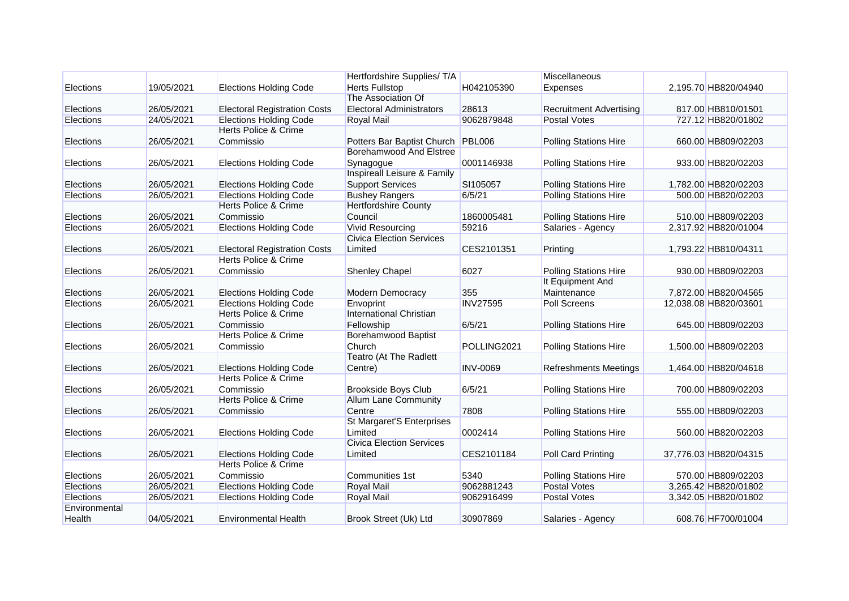|                  |            |                                     | Hertfordshire Supplies/ T/A                |                 | Miscellaneous                  |                       |
|------------------|------------|-------------------------------------|--------------------------------------------|-----------------|--------------------------------|-----------------------|
| Elections        | 19/05/2021 | <b>Elections Holding Code</b>       | <b>Herts Fullstop</b>                      | H042105390      | Expenses                       | 2,195.70 HB820/04940  |
|                  |            |                                     | The Association Of                         |                 |                                |                       |
| <b>Elections</b> | 26/05/2021 | <b>Electoral Registration Costs</b> | <b>Electoral Administrators</b>            | 28613           | <b>Recruitment Advertising</b> | 817.00 HB810/01501    |
| <b>Elections</b> | 24/05/2021 | <b>Elections Holding Code</b>       | Royal Mail                                 | 9062879848      | Postal Votes                   | 727.12 HB820/01802    |
|                  |            | <b>Herts Police &amp; Crime</b>     |                                            |                 |                                |                       |
| <b>Elections</b> | 26/05/2021 | Commissio                           | Potters Bar Baptist Church PBL006          |                 | <b>Polling Stations Hire</b>   | 660.00 HB809/02203    |
|                  |            |                                     | <b>Borehamwood And Elstree</b>             |                 |                                |                       |
| <b>Elections</b> | 26/05/2021 | <b>Elections Holding Code</b>       | Synagogue                                  | 0001146938      | <b>Polling Stations Hire</b>   | 933.00 HB820/02203    |
|                  |            |                                     | <b>Inspireall Leisure &amp; Family</b>     |                 |                                |                       |
| Elections        | 26/05/2021 | <b>Elections Holding Code</b>       | <b>Support Services</b>                    | SI105057        | <b>Polling Stations Hire</b>   | 1,782.00 HB820/02203  |
| <b>Elections</b> | 26/05/2021 | <b>Elections Holding Code</b>       | <b>Bushey Rangers</b>                      | 6/5/21          | <b>Polling Stations Hire</b>   | 500.00 HB820/02203    |
|                  |            | <b>Herts Police &amp; Crime</b>     | <b>Hertfordshire County</b>                |                 |                                |                       |
| Elections        | 26/05/2021 | Commissio                           | Council                                    | 1860005481      | <b>Polling Stations Hire</b>   | 510.00 HB809/02203    |
| Elections        | 26/05/2021 | <b>Elections Holding Code</b>       | <b>Vivid Resourcing</b>                    | 59216           | Salaries - Agency              | 2,317.92 HB820/01004  |
|                  |            |                                     | <b>Civica Election Services</b>            |                 |                                |                       |
| <b>Elections</b> | 26/05/2021 | <b>Electoral Registration Costs</b> | Limited                                    | CES2101351      | Printing                       | 1,793.22 HB810/04311  |
|                  |            | <b>Herts Police &amp; Crime</b>     |                                            |                 |                                |                       |
| Elections        | 26/05/2021 | Commissio                           | <b>Shenley Chapel</b>                      | 6027            | <b>Polling Stations Hire</b>   | 930.00 HB809/02203    |
|                  |            |                                     |                                            |                 | It Equipment And               |                       |
| <b>Elections</b> | 26/05/2021 | <b>Elections Holding Code</b>       | Modern Democracy                           | 355             | Maintenance                    | 7,872.00 HB820/04565  |
| <b>Elections</b> | 26/05/2021 | <b>Elections Holding Code</b>       | Envoprint                                  | <b>INV27595</b> | <b>Poll Screens</b>            | 12,038.08 HB820/03601 |
|                  |            | <b>Herts Police &amp; Crime</b>     | <b>International Christian</b>             |                 |                                |                       |
| <b>Elections</b> | 26/05/2021 | Commissio                           | Fellowship                                 | 6/5/21          | <b>Polling Stations Hire</b>   | 645.00 HB809/02203    |
|                  |            | Herts Police & Crime                | <b>Borehamwood Baptist</b>                 |                 |                                |                       |
| Elections        | 26/05/2021 | Commissio                           | Church                                     | POLLING2021     | <b>Polling Stations Hire</b>   | 1,500.00 HB809/02203  |
|                  |            |                                     | Teatro (At The Radlett                     |                 |                                |                       |
| Elections        | 26/05/2021 | <b>Elections Holding Code</b>       | Centre)                                    | <b>INV-0069</b> | <b>Refreshments Meetings</b>   | 1,464.00 HB820/04618  |
|                  |            | Herts Police & Crime                |                                            |                 |                                |                       |
| Elections        | 26/05/2021 | Commissio<br>Herts Police & Crime   | <b>Brookside Boys Club</b>                 | 6/5/21          | <b>Polling Stations Hire</b>   | 700.00 HB809/02203    |
|                  |            |                                     | <b>Allum Lane Community</b>                |                 |                                |                       |
| <b>Elections</b> | 26/05/2021 | Commissio                           | Centre<br><b>St Margaret'S Enterprises</b> | 7808            | <b>Polling Stations Hire</b>   | 555.00 HB809/02203    |
|                  | 26/05/2021 |                                     | Limited                                    | 0002414         |                                | 560.00 HB820/02203    |
| Elections        |            | <b>Elections Holding Code</b>       | <b>Civica Election Services</b>            |                 | <b>Polling Stations Hire</b>   |                       |
| Elections        | 26/05/2021 | <b>Elections Holding Code</b>       |                                            | CES2101184      | Poll Card Printing             | 37,776.03 HB820/04315 |
|                  |            | Herts Police & Crime                | Limited                                    |                 |                                |                       |
| Elections        | 26/05/2021 | Commissio                           | Communities 1st                            | 5340            | Polling Stations Hire          | 570.00 HB809/02203    |
| Elections        | 26/05/2021 | <b>Elections Holding Code</b>       | <b>Royal Mail</b>                          | 9062881243      | <b>Postal Votes</b>            | 3,265.42 HB820/01802  |
| <b>Elections</b> | 26/05/2021 | <b>Elections Holding Code</b>       | <b>Royal Mail</b>                          | 9062916499      | <b>Postal Votes</b>            | 3,342.05 HB820/01802  |
| Environmental    |            |                                     |                                            |                 |                                |                       |
| <b>Health</b>    | 04/05/2021 | <b>Environmental Health</b>         | Brook Street (Uk) Ltd                      | 30907869        | Salaries - Agency              | 608.76 HF700/01004    |
|                  |            |                                     |                                            |                 |                                |                       |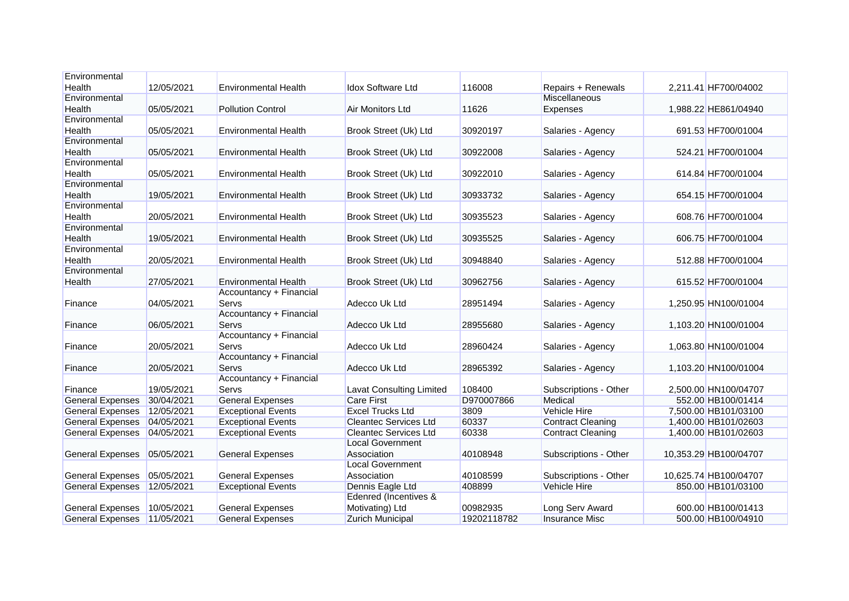| Environmental           |            |                             |                              |             |                          |                       |
|-------------------------|------------|-----------------------------|------------------------------|-------------|--------------------------|-----------------------|
| Health                  | 12/05/2021 | <b>Environmental Health</b> | <b>Idox Software Ltd</b>     | 116008      | Repairs + Renewals       | 2,211.41 HF700/04002  |
| Environmental           |            |                             |                              |             | Miscellaneous            |                       |
| Health                  | 05/05/2021 | <b>Pollution Control</b>    | Air Monitors Ltd             | 11626       | <b>Expenses</b>          | 1,988.22 HE861/04940  |
| Environmental           |            |                             |                              |             |                          |                       |
| <b>Health</b>           | 05/05/2021 | <b>Environmental Health</b> | Brook Street (Uk) Ltd        | 30920197    | Salaries - Agency        | 691.53 HF700/01004    |
| Environmental           |            |                             |                              |             |                          |                       |
| <b>Health</b>           | 05/05/2021 | <b>Environmental Health</b> | Brook Street (Uk) Ltd        | 30922008    | Salaries - Agency        | 524.21 HF700/01004    |
| Environmental           |            |                             |                              |             |                          |                       |
| <b>Health</b>           | 05/05/2021 | <b>Environmental Health</b> | Brook Street (Uk) Ltd        | 30922010    | Salaries - Agency        | 614.84 HF700/01004    |
| Environmental           |            |                             |                              |             |                          |                       |
| <b>Health</b>           | 19/05/2021 | <b>Environmental Health</b> | Brook Street (Uk) Ltd        | 30933732    | Salaries - Agency        | 654.15 HF700/01004    |
| Environmental           |            |                             |                              |             |                          |                       |
| Health                  | 20/05/2021 | <b>Environmental Health</b> | Brook Street (Uk) Ltd        | 30935523    | Salaries - Agency        | 608.76 HF700/01004    |
| Environmental           |            |                             |                              |             |                          |                       |
| <b>Health</b>           | 19/05/2021 | <b>Environmental Health</b> | Brook Street (Uk) Ltd        | 30935525    | Salaries - Agency        | 606.75 HF700/01004    |
| Environmental           |            |                             |                              |             |                          |                       |
| <b>Health</b>           | 20/05/2021 | <b>Environmental Health</b> | Brook Street (Uk) Ltd        | 30948840    | Salaries - Agency        | 512.88 HF700/01004    |
| Environmental           | 27/05/2021 | <b>Environmental Health</b> |                              | 30962756    |                          | 615.52 HF700/01004    |
| Health                  |            | Accountancy + Financial     | Brook Street (Uk) Ltd        |             | Salaries - Agency        |                       |
| Finance                 | 04/05/2021 | Servs                       | Adecco Uk Ltd                | 28951494    | Salaries - Agency        | 1,250.95 HN100/01004  |
|                         |            | Accountancy + Financial     |                              |             |                          |                       |
| Finance                 | 06/05/2021 | Servs                       | Adecco Uk Ltd                | 28955680    | Salaries - Agency        | 1,103.20 HN100/01004  |
|                         |            | Accountancy + Financial     |                              |             |                          |                       |
| Finance                 | 20/05/2021 | Servs                       | Adecco Uk Ltd                | 28960424    | Salaries - Agency        | 1,063.80 HN100/01004  |
|                         |            | Accountancy + Financial     |                              |             |                          |                       |
| Finance                 | 20/05/2021 | <b>Servs</b>                | Adecco Uk Ltd                | 28965392    | Salaries - Agency        | 1,103.20 HN100/01004  |
|                         |            | Accountancy + Financial     |                              |             |                          |                       |
| Finance                 | 19/05/2021 | Servs                       | Lavat Consulting Limited     | 108400      | Subscriptions - Other    | 2,500.00 HN100/04707  |
| <b>General Expenses</b> | 30/04/2021 | <b>General Expenses</b>     | <b>Care First</b>            | D970007866  | Medical                  | 552.00 HB100/01414    |
| <b>General Expenses</b> | 12/05/2021 | <b>Exceptional Events</b>   | <b>Excel Trucks Ltd</b>      | 3809        | <b>Vehicle Hire</b>      | 7,500.00 HB101/03100  |
| <b>General Expenses</b> | 04/05/2021 | <b>Exceptional Events</b>   | <b>Cleantec Services Ltd</b> | 60337       | <b>Contract Cleaning</b> | 1,400.00 HB101/02603  |
| <b>General Expenses</b> | 04/05/2021 | <b>Exceptional Events</b>   | <b>Cleantec Services Ltd</b> | 60338       | <b>Contract Cleaning</b> | 1,400.00 HB101/02603  |
|                         |            |                             | <b>Local Government</b>      |             |                          |                       |
| <b>General Expenses</b> | 05/05/2021 | <b>General Expenses</b>     | Association                  | 40108948    | Subscriptions - Other    | 10,353.29 HB100/04707 |
|                         |            |                             | <b>Local Government</b>      |             |                          |                       |
| <b>General Expenses</b> | 05/05/2021 | <b>General Expenses</b>     | Association                  | 40108599    | Subscriptions - Other    | 10,625.74 HB100/04707 |
| <b>General Expenses</b> | 12/05/2021 | <b>Exceptional Events</b>   | Dennis Eagle Ltd             | 408899      | Vehicle Hire             | 850.00 HB101/03100    |
|                         |            |                             | Edenred (Incentives &        |             |                          |                       |
| <b>General Expenses</b> | 10/05/2021 | <b>General Expenses</b>     | Motivating) Ltd              | 00982935    | Long Serv Award          | 600.00 HB100/01413    |
| <b>General Expenses</b> | 11/05/2021 | <b>General Expenses</b>     | <b>Zurich Municipal</b>      | 19202118782 | <b>Insurance Misc</b>    | 500.00 HB100/04910    |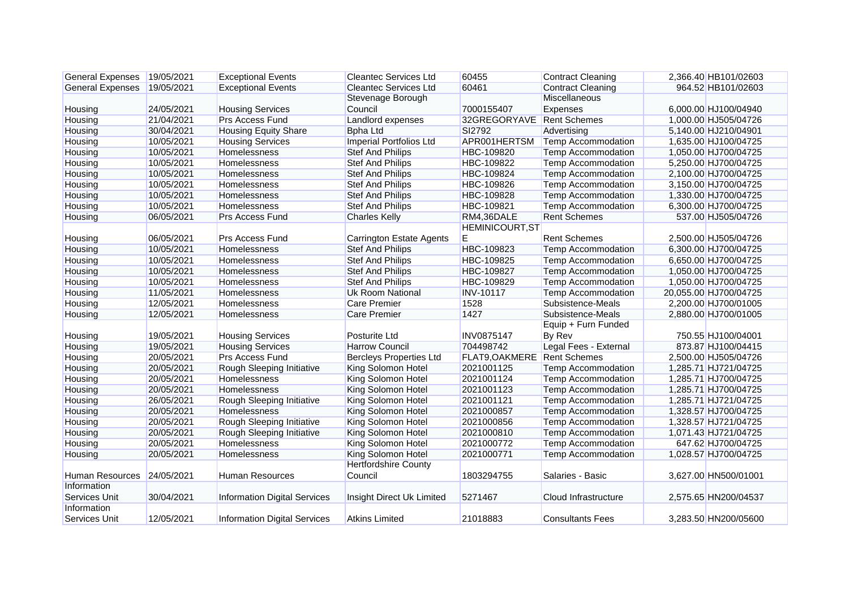| <b>General Expenses</b> | 19/05/2021 | <b>Exceptional Events</b>           | <b>Cleantec Services Ltd</b>    | 60455                  | <b>Contract Cleaning</b>  | 2,366.40 HB101/02603  |
|-------------------------|------------|-------------------------------------|---------------------------------|------------------------|---------------------------|-----------------------|
| <b>General Expenses</b> | 19/05/2021 | <b>Exceptional Events</b>           | <b>Cleantec Services Ltd</b>    | 60461                  | <b>Contract Cleaning</b>  | 964.52 HB101/02603    |
|                         |            |                                     | Stevenage Borough               |                        | Miscellaneous             |                       |
| Housing                 | 24/05/2021 | <b>Housing Services</b>             | Council                         | 7000155407             | Expenses                  | 6,000.00 HJ100/04940  |
| Housing                 | 21/04/2021 | Prs Access Fund                     | Landlord expenses               | 32GREGORYAVE           | <b>Rent Schemes</b>       | 1,000.00 HJ505/04726  |
| Housing                 | 30/04/2021 | <b>Housing Equity Share</b>         | <b>Bpha Ltd</b>                 | SI2792                 | Advertising               | 5,140.00 HJ210/04901  |
| Housing                 | 10/05/2021 | <b>Housing Services</b>             | <b>Imperial Portfolios Ltd</b>  | APR001HERTSM           | <b>Temp Accommodation</b> | 1,635.00 HJ100/04725  |
| Housing                 | 10/05/2021 | <b>Homelessness</b>                 | <b>Stef And Philips</b>         | HBC-109820             | Temp Accommodation        | 1,050.00 HJ700/04725  |
| Housing                 | 10/05/2021 | <b>Homelessness</b>                 | <b>Stef And Philips</b>         | HBC-109822             | Temp Accommodation        | 5,250.00 HJ700/04725  |
| Housing                 | 10/05/2021 | <b>Homelessness</b>                 | <b>Stef And Philips</b>         | HBC-109824             | <b>Temp Accommodation</b> | 2,100.00 HJ700/04725  |
| Housing                 | 10/05/2021 | Homelessness                        | <b>Stef And Philips</b>         | HBC-109826             | <b>Temp Accommodation</b> | 3,150.00 HJ700/04725  |
| Housing                 | 10/05/2021 | <b>Homelessness</b>                 | <b>Stef And Philips</b>         | HBC-109828             | <b>Temp Accommodation</b> | 1,330.00 HJ700/04725  |
| Housing                 | 10/05/2021 | <b>Homelessness</b>                 | <b>Stef And Philips</b>         | HBC-109821             | Temp Accommodation        | 6,300.00 HJ700/04725  |
| Housing                 | 06/05/2021 | Prs Access Fund                     | <b>Charles Kelly</b>            | RM4,36DALE             | <b>Rent Schemes</b>       | 537.00 HJ505/04726    |
|                         |            |                                     |                                 | <b>HEMINICOURT, ST</b> |                           |                       |
| Housing                 | 06/05/2021 | <b>Prs Access Fund</b>              | <b>Carrington Estate Agents</b> | E                      | <b>Rent Schemes</b>       | 2,500.00 HJ505/04726  |
| Housing                 | 10/05/2021 | <b>Homelessness</b>                 | <b>Stef And Philips</b>         | HBC-109823             | Temp Accommodation        | 6,300.00 HJ700/04725  |
| Housing                 | 10/05/2021 | <b>Homelessness</b>                 | <b>Stef And Philips</b>         | HBC-109825             | Temp Accommodation        | 6,650.00 HJ700/04725  |
| Housing                 | 10/05/2021 | <b>Homelessness</b>                 | <b>Stef And Philips</b>         | HBC-109827             | Temp Accommodation        | 1,050.00 HJ700/04725  |
| Housing                 | 10/05/2021 | <b>Homelessness</b>                 | <b>Stef And Philips</b>         | HBC-109829             | Temp Accommodation        | 1,050.00 HJ700/04725  |
| Housing                 | 11/05/2021 | <b>Homelessness</b>                 | <b>Uk Room National</b>         | <b>INV-10117</b>       | Temp Accommodation        | 20,055.00 HJ700/04725 |
| Housing                 | 12/05/2021 | Homelessness                        | <b>Care Premier</b>             | 1528                   | Subsistence-Meals         | 2,200.00 HJ700/01005  |
| Housing                 | 12/05/2021 | Homelessness                        | <b>Care Premier</b>             | 1427                   | Subsistence-Meals         | 2,880.00 HJ700/01005  |
|                         |            |                                     |                                 |                        | Equip + Furn Funded       |                       |
| Housing                 | 19/05/2021 | <b>Housing Services</b>             | Posturite Ltd                   | <b>INV0875147</b>      | By Rev                    | 750.55 HJ100/04001    |
| Housing                 | 19/05/2021 | <b>Housing Services</b>             | <b>Harrow Council</b>           | 704498742              | Legal Fees - External     | 873.87 HJ100/04415    |
| Housing                 | 20/05/2021 | <b>Prs Access Fund</b>              | <b>Bercleys Properties Ltd</b>  | FLAT9, OAKMERE         | <b>Rent Schemes</b>       | 2,500.00 HJ505/04726  |
| Housing                 | 20/05/2021 | Rough Sleeping Initiative           | King Solomon Hotel              | 2021001125             | Temp Accommodation        | 1,285.71 HJ721/04725  |
| Housing                 | 20/05/2021 | <b>Homelessness</b>                 | King Solomon Hotel              | 2021001124             | <b>Temp Accommodation</b> | 1,285.71 HJ700/04725  |
| Housing                 | 20/05/2021 | <b>Homelessness</b>                 | King Solomon Hotel              | 2021001123             | <b>Temp Accommodation</b> | 1,285.71 HJ700/04725  |
| Housing                 | 26/05/2021 | Rough Sleeping Initiative           | King Solomon Hotel              | 2021001121             | Temp Accommodation        | 1,285.71 HJ721/04725  |
| Housing                 | 20/05/2021 | Homelessness                        | King Solomon Hotel              | 2021000857             | <b>Temp Accommodation</b> | 1,328.57 HJ700/04725  |
| Housing                 | 20/05/2021 | Rough Sleeping Initiative           | King Solomon Hotel              | 2021000856             | Temp Accommodation        | 1,328.57 HJ721/04725  |
| Housing                 | 20/05/2021 | Rough Sleeping Initiative           | King Solomon Hotel              | 2021000810             | <b>Temp Accommodation</b> | 1,071.43 HJ721/04725  |
| Housing                 | 20/05/2021 | Homelessness                        | King Solomon Hotel              | 2021000772             | Temp Accommodation        | 647.62 HJ700/04725    |
| Housing                 | 20/05/2021 | Homelessness                        | King Solomon Hotel              | 2021000771             | Temp Accommodation        | 1,028.57 HJ700/04725  |
|                         |            |                                     | <b>Hertfordshire County</b>     |                        |                           |                       |
| <b>Human Resources</b>  | 24/05/2021 | <b>Human Resources</b>              | Council                         | 1803294755             | Salaries - Basic          | 3,627.00 HN500/01001  |
| Information             |            |                                     |                                 |                        |                           |                       |
| <b>Services Unit</b>    | 30/04/2021 | <b>Information Digital Services</b> | Insight Direct Uk Limited       | 5271467                | Cloud Infrastructure      | 2,575.65 HN200/04537  |
| Information             |            |                                     |                                 |                        |                           |                       |
| Services Unit           | 12/05/2021 | <b>Information Digital Services</b> | <b>Atkins Limited</b>           | 21018883               | <b>Consultants Fees</b>   | 3.283.50 HN200/05600  |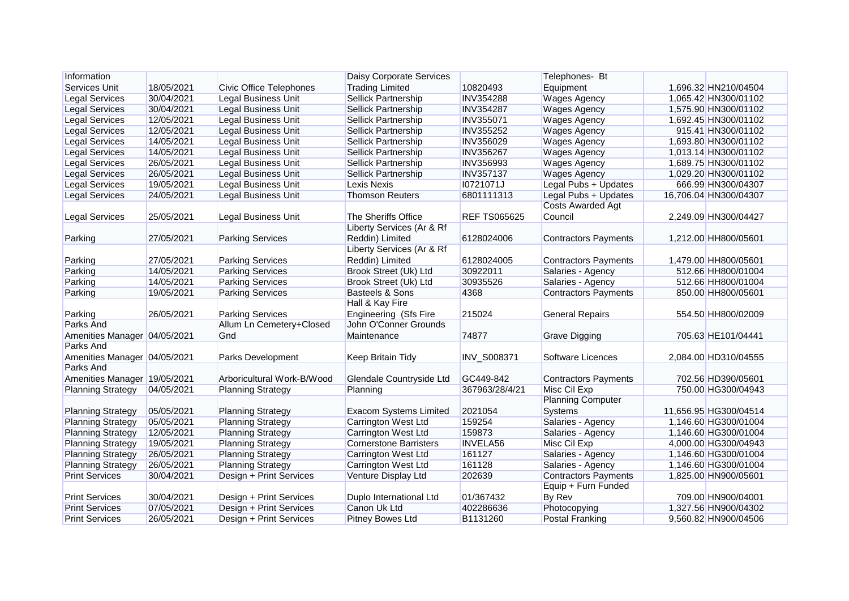| Information                  |            |                                | Daisy Corporate Services      |                     | Telephones- Bt              |                       |
|------------------------------|------------|--------------------------------|-------------------------------|---------------------|-----------------------------|-----------------------|
| Services Unit                | 18/05/2021 | <b>Civic Office Telephones</b> | <b>Trading Limited</b>        | 10820493            | Equipment                   | 1,696.32 HN210/04504  |
| <b>Legal Services</b>        | 30/04/2021 | <b>Legal Business Unit</b>     | <b>Sellick Partnership</b>    | <b>INV354288</b>    | <b>Wages Agency</b>         | 1,065.42 HN300/01102  |
| <b>Legal Services</b>        | 30/04/2021 | <b>Legal Business Unit</b>     | <b>Sellick Partnership</b>    | <b>INV354287</b>    | <b>Wages Agency</b>         | 1,575.90 HN300/01102  |
| <b>Legal Services</b>        | 12/05/2021 | <b>Legal Business Unit</b>     | <b>Sellick Partnership</b>    | <b>INV355071</b>    | <b>Wages Agency</b>         | 1,692.45 HN300/01102  |
| <b>Legal Services</b>        | 12/05/2021 | <b>Legal Business Unit</b>     | Sellick Partnership           | <b>INV355252</b>    | <b>Wages Agency</b>         | 915.41 HN300/01102    |
| <b>Legal Services</b>        | 14/05/2021 | <b>Legal Business Unit</b>     | Sellick Partnership           | INV356029           | <b>Wages Agency</b>         | 1,693.80 HN300/01102  |
| <b>Legal Services</b>        | 14/05/2021 | <b>Legal Business Unit</b>     | Sellick Partnership           | <b>INV356267</b>    | <b>Wages Agency</b>         | 1,013.14 HN300/01102  |
| <b>Legal Services</b>        | 26/05/2021 | <b>Legal Business Unit</b>     | <b>Sellick Partnership</b>    | <b>INV356993</b>    | <b>Wages Agency</b>         | 1,689.75 HN300/01102  |
| <b>Legal Services</b>        | 26/05/2021 | <b>Legal Business Unit</b>     | Sellick Partnership           | <b>INV357137</b>    | <b>Wages Agency</b>         | 1,029.20 HN300/01102  |
| <b>Legal Services</b>        | 19/05/2021 | <b>Legal Business Unit</b>     | <b>Lexis Nexis</b>            | I0721071J           | Legal Pubs + Updates        | 666.99 HN300/04307    |
| <b>Legal Services</b>        | 24/05/2021 | <b>Legal Business Unit</b>     | <b>Thomson Reuters</b>        | 6801111313          | Legal Pubs + Updates        | 16,706.04 HN300/04307 |
|                              |            |                                |                               |                     | <b>Costs Awarded Agt</b>    |                       |
| <b>Legal Services</b>        | 25/05/2021 | <b>Legal Business Unit</b>     | The Sheriffs Office           | <b>REF TS065625</b> | Council                     | 2,249.09 HN300/04427  |
|                              |            |                                | Liberty Services (Ar & Rf     |                     |                             |                       |
| Parking                      | 27/05/2021 | <b>Parking Services</b>        | Reddin) Limited               | 6128024006          | <b>Contractors Payments</b> | 1,212.00 HH800/05601  |
|                              |            |                                | Liberty Services (Ar & Rf     |                     |                             |                       |
| Parking                      | 27/05/2021 | <b>Parking Services</b>        | Reddin) Limited               | 6128024005          | <b>Contractors Payments</b> | 1,479.00 HH800/05601  |
| Parking                      | 14/05/2021 | <b>Parking Services</b>        | Brook Street (Uk) Ltd         | 30922011            | Salaries - Agency           | 512.66 HH800/01004    |
| Parking                      | 14/05/2021 | <b>Parking Services</b>        | Brook Street (Uk) Ltd         | 30935526            | Salaries - Agency           | 512.66 HH800/01004    |
| Parking                      | 19/05/2021 | <b>Parking Services</b>        | <b>Basteels &amp; Sons</b>    | 4368                | <b>Contractors Payments</b> | 850.00 HH800/05601    |
|                              |            |                                | Hall & Kay Fire               |                     |                             |                       |
| Parking                      | 26/05/2021 | <b>Parking Services</b>        | Engineering (Sfs Fire         | 215024              | <b>General Repairs</b>      | 554.50 HH800/02009    |
| Parks And                    |            | Allum Ln Cemetery+Closed       | John O'Conner Grounds         |                     |                             |                       |
| Amenities Manager 04/05/2021 |            | Gnd                            | Maintenance                   | 74877               | <b>Grave Digging</b>        | 705.63 HE101/04441    |
| Parks And                    |            |                                |                               |                     |                             |                       |
| Amenities Manager 04/05/2021 |            | Parks Development              | Keep Britain Tidy             | INV_S008371         | Software Licences           | 2,084.00 HD310/04555  |
| Parks And                    |            |                                |                               |                     |                             |                       |
| Amenities Manager 19/05/2021 |            | Arboricultural Work-B/Wood     | Glendale Countryside Ltd      | GC449-842           | <b>Contractors Payments</b> | 702.56 HD390/05601    |
| <b>Planning Strategy</b>     | 04/05/2021 | <b>Planning Strategy</b>       | Planning                      | 367963/28/4/21      | Misc Cil Exp                | 750.00 HG300/04943    |
|                              |            |                                |                               |                     | <b>Planning Computer</b>    |                       |
| <b>Planning Strategy</b>     | 05/05/2021 | <b>Planning Strategy</b>       | <b>Exacom Systems Limited</b> | 2021054             | <b>Systems</b>              | 11,656.95 HG300/04514 |
| <b>Planning Strategy</b>     | 05/05/2021 | <b>Planning Strategy</b>       | Carrington West Ltd           | 159254              | Salaries - Agency           | 1,146.60 HG300/01004  |
| <b>Planning Strategy</b>     | 12/05/2021 | <b>Planning Strategy</b>       | <b>Carrington West Ltd</b>    | 159873              | Salaries - Agency           | 1,146.60 HG300/01004  |
| <b>Planning Strategy</b>     | 19/05/2021 | <b>Planning Strategy</b>       | <b>Cornerstone Barristers</b> | <b>INVELA56</b>     | Misc Cil Exp                | 4,000.00 HG300/04943  |
| <b>Planning Strategy</b>     | 26/05/2021 | <b>Planning Strategy</b>       | <b>Carrington West Ltd</b>    | 161127              | Salaries - Agency           | 1,146.60 HG300/01004  |
| <b>Planning Strategy</b>     | 26/05/2021 | <b>Planning Strategy</b>       | Carrington West Ltd           | 161128              | Salaries - Agency           | 1,146.60 HG300/01004  |
| <b>Print Services</b>        | 30/04/2021 | Design + Print Services        | Venture Display Ltd           | 202639              | <b>Contractors Payments</b> | 1,825.00 HN900/05601  |
|                              |            |                                |                               |                     | Equip + Furn Funded         |                       |
| <b>Print Services</b>        | 30/04/2021 | Design + Print Services        | Duplo International Ltd       | 01/367432           | By Rev                      | 709.00 HN900/04001    |
| <b>Print Services</b>        | 07/05/2021 | Design + Print Services        | Canon Uk Ltd                  | 402286636           | Photocopying                | 1,327.56 HN900/04302  |
| <b>Print Services</b>        | 26/05/2021 | Design + Print Services        | <b>Pitney Bowes Ltd</b>       | B1131260            | <b>Postal Franking</b>      | 9,560.82 HN900/04506  |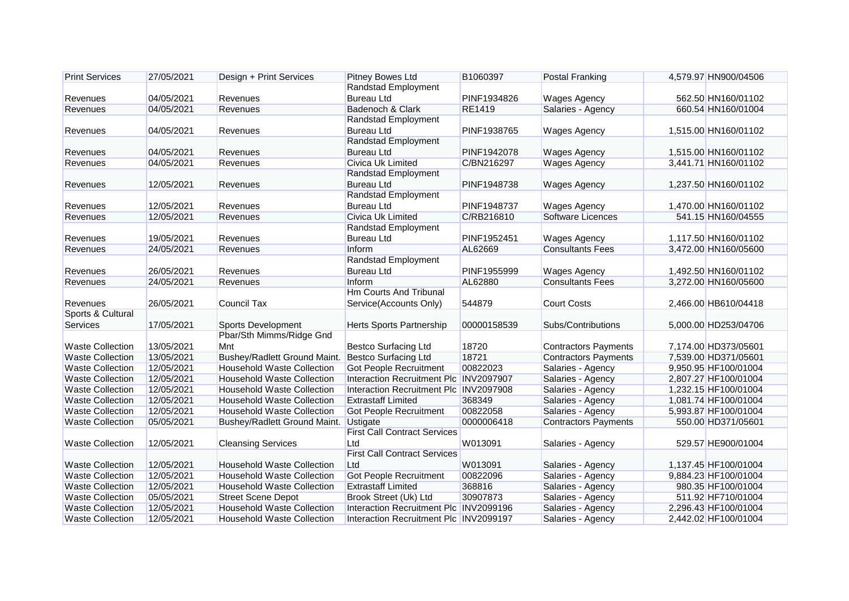| <b>Print Services</b>   | 27/05/2021 | Design + Print Services               | <b>Pitney Bowes Ltd</b>                | B1060397    | <b>Postal Franking</b>      | 4,579.97 HN900/04506 |
|-------------------------|------------|---------------------------------------|----------------------------------------|-------------|-----------------------------|----------------------|
|                         |            |                                       | <b>Randstad Employment</b>             |             |                             |                      |
| Revenues                | 04/05/2021 | Revenues                              | <b>Bureau Ltd</b>                      | PINF1934826 | <b>Wages Agency</b>         | 562.50 HN160/01102   |
| Revenues                | 04/05/2021 | Revenues                              | Badenoch & Clark                       | RE1419      | Salaries - Agency           | 660.54 HN160/01004   |
|                         |            |                                       | Randstad Employment                    |             |                             |                      |
| Revenues                | 04/05/2021 | Revenues                              | <b>Bureau Ltd</b>                      | PINF1938765 | <b>Wages Agency</b>         | 1,515.00 HN160/01102 |
|                         |            |                                       | <b>Randstad Employment</b>             |             |                             |                      |
| Revenues                | 04/05/2021 | Revenues                              | <b>Bureau Ltd</b>                      | PINF1942078 | <b>Wages Agency</b>         | 1,515.00 HN160/01102 |
| Revenues                | 04/05/2021 | <b>Revenues</b>                       | Civica Uk Limited                      | C/BN216297  | <b>Wages Agency</b>         | 3,441.71 HN160/01102 |
|                         |            |                                       | <b>Randstad Employment</b>             |             |                             |                      |
| Revenues                | 12/05/2021 | Revenues                              | <b>Bureau Ltd</b>                      | PINF1948738 | <b>Wages Agency</b>         | 1,237.50 HN160/01102 |
|                         |            |                                       | Randstad Employment                    |             |                             |                      |
| Revenues                | 12/05/2021 | <b>Revenues</b>                       | <b>Bureau Ltd</b>                      | PINF1948737 | <b>Wages Agency</b>         | 1,470.00 HN160/01102 |
| Revenues                | 12/05/2021 | Revenues                              | Civica Uk Limited                      | C/RB216810  | <b>Software Licences</b>    | 541.15 HN160/04555   |
|                         |            |                                       | Randstad Employment                    |             |                             |                      |
| Revenues                | 19/05/2021 | Revenues                              | <b>Bureau Ltd</b>                      | PINF1952451 | <b>Wages Agency</b>         | 1,117.50 HN160/01102 |
| Revenues                | 24/05/2021 | Revenues                              | Inform                                 | AL62669     | <b>Consultants Fees</b>     | 3,472.00 HN160/05600 |
|                         |            |                                       | <b>Randstad Employment</b>             |             |                             |                      |
| Revenues                | 26/05/2021 | Revenues                              | <b>Bureau Ltd</b>                      | PINF1955999 | <b>Wages Agency</b>         | 1,492.50 HN160/01102 |
| Revenues                | 24/05/2021 | Revenues                              | Inform                                 | AL62880     | <b>Consultants Fees</b>     | 3,272.00 HN160/05600 |
|                         |            |                                       | <b>Hm Courts And Tribunal</b>          |             |                             |                      |
| Revenues                | 26/05/2021 | <b>Council Tax</b>                    | Service(Accounts Only)                 | 544879      | <b>Court Costs</b>          | 2,466.00 HB610/04418 |
| Sports & Cultural       |            |                                       |                                        |             |                             |                      |
| Services                | 17/05/2021 | Sports Development                    | <b>Herts Sports Partnership</b>        | 00000158539 | Subs/Contributions          | 5,000.00 HD253/04706 |
|                         |            | Pbar/Sth Mimms/Ridge Gnd              |                                        |             |                             |                      |
| <b>Waste Collection</b> | 13/05/2021 | <b>Mnt</b>                            | <b>Bestco Surfacing Ltd</b>            | 18720       | <b>Contractors Payments</b> | 7,174.00 HD373/05601 |
| <b>Waste Collection</b> | 13/05/2021 | Bushey/Radlett Ground Maint.          | <b>Bestco Surfacing Ltd</b>            | 18721       | <b>Contractors Payments</b> | 7,539.00 HD371/05601 |
| <b>Waste Collection</b> | 12/05/2021 | <b>Household Waste Collection</b>     | <b>Got People Recruitment</b>          | 00822023    | Salaries - Agency           | 9,950.95 HF100/01004 |
| <b>Waste Collection</b> | 12/05/2021 | <b>Household Waste Collection</b>     | Interaction Recruitment Plc INV2097907 |             | Salaries - Agency           | 2,807.27 HF100/01004 |
| <b>Waste Collection</b> | 12/05/2021 | <b>Household Waste Collection</b>     | Interaction Recruitment Plc INV2097908 |             | Salaries - Agency           | 1,232.15 HF100/01004 |
| <b>Waste Collection</b> | 12/05/2021 | <b>Household Waste Collection</b>     | <b>Extrastaff Limited</b>              | 368349      | Salaries - Agency           | 1,081.74 HF100/01004 |
| <b>Waste Collection</b> | 12/05/2021 | <b>Household Waste Collection</b>     | <b>Got People Recruitment</b>          | 00822058    | Salaries - Agency           | 5,993.87 HF100/01004 |
| <b>Waste Collection</b> | 05/05/2021 | Bushey/Radlett Ground Maint. Ustigate |                                        | 0000006418  | <b>Contractors Payments</b> | 550.00 HD371/05601   |
|                         |            |                                       | <b>First Call Contract Services</b>    |             |                             |                      |
| <b>Waste Collection</b> | 12/05/2021 | <b>Cleansing Services</b>             | Ltd                                    | W013091     | Salaries - Agency           | 529.57 HE900/01004   |
|                         |            |                                       | <b>First Call Contract Services</b>    |             |                             |                      |
| <b>Waste Collection</b> | 12/05/2021 | <b>Household Waste Collection</b>     | Ltd                                    | W013091     | Salaries - Agency           | 1,137.45 HF100/01004 |
| <b>Waste Collection</b> | 12/05/2021 | <b>Household Waste Collection</b>     | <b>Got People Recruitment</b>          | 00822096    | Salaries - Agency           | 9,884.23 HF100/01004 |
| <b>Waste Collection</b> | 12/05/2021 | <b>Household Waste Collection</b>     | <b>Extrastaff Limited</b>              | 368816      | Salaries - Agency           | 980.35 HF100/01004   |
| <b>Waste Collection</b> | 05/05/2021 | <b>Street Scene Depot</b>             | Brook Street (Uk) Ltd                  | 30907873    | Salaries - Agency           | 511.92 HF710/01004   |
| <b>Waste Collection</b> | 12/05/2021 | <b>Household Waste Collection</b>     | Interaction Recruitment Plc INV2099196 |             | Salaries - Agency           | 2,296.43 HF100/01004 |
| <b>Waste Collection</b> | 12/05/2021 | <b>Household Waste Collection</b>     | Interaction Recruitment Plc INV2099197 |             | Salaries - Agency           | 2,442.02 HF100/01004 |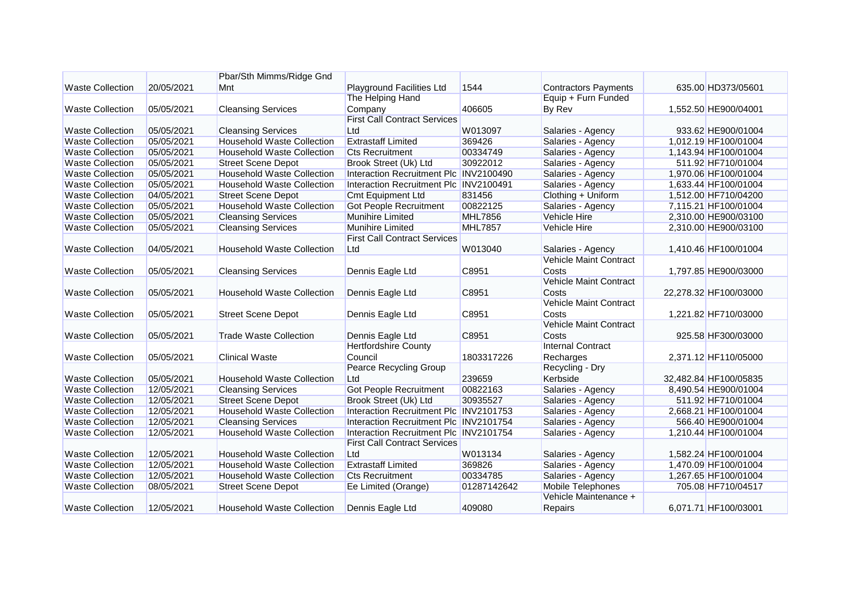|                         |            | Pbar/Sth Mimms/Ridge Gnd          |                                        |                |                               |                       |
|-------------------------|------------|-----------------------------------|----------------------------------------|----------------|-------------------------------|-----------------------|
| <b>Waste Collection</b> | 20/05/2021 | Mnt                               | Playground Facilities Ltd              | 1544           | <b>Contractors Payments</b>   | 635.00 HD373/05601    |
|                         |            |                                   | The Helping Hand                       |                | Equip + Furn Funded           |                       |
| <b>Waste Collection</b> | 05/05/2021 | <b>Cleansing Services</b>         | Company                                | 406605         | By Rev                        | 1,552.50 HE900/04001  |
|                         |            |                                   | <b>First Call Contract Services</b>    |                |                               |                       |
| <b>Waste Collection</b> | 05/05/2021 | <b>Cleansing Services</b>         | Ltd                                    | W013097        | Salaries - Agency             | 933.62 HE900/01004    |
| <b>Waste Collection</b> | 05/05/2021 | <b>Household Waste Collection</b> | <b>Extrastaff Limited</b>              | 369426         | Salaries - Agency             | 1,012.19 HF100/01004  |
| <b>Waste Collection</b> | 05/05/2021 | <b>Household Waste Collection</b> | <b>Cts Recruitment</b>                 | 00334749       | Salaries - Agency             | 1,143.94 HF100/01004  |
| <b>Waste Collection</b> | 05/05/2021 | <b>Street Scene Depot</b>         | Brook Street (Uk) Ltd                  | 30922012       | Salaries - Agency             | 511.92 HF710/01004    |
| <b>Waste Collection</b> | 05/05/2021 | <b>Household Waste Collection</b> | Interaction Recruitment Plc INV2100490 |                | Salaries - Agency             | 1,970.06 HF100/01004  |
| <b>Waste Collection</b> | 05/05/2021 | <b>Household Waste Collection</b> | Interaction Recruitment Plc INV2100491 |                | Salaries - Agency             | 1,633.44 HF100/01004  |
| <b>Waste Collection</b> | 04/05/2021 | <b>Street Scene Depot</b>         | <b>Cmt Equipment Ltd</b>               | 831456         | Clothing + Uniform            | 1,512.00 HF710/04200  |
| <b>Waste Collection</b> | 05/05/2021 | <b>Household Waste Collection</b> | <b>Got People Recruitment</b>          | 00822125       | Salaries - Agency             | 7,115.21 HF100/01004  |
| <b>Waste Collection</b> | 05/05/2021 | <b>Cleansing Services</b>         | <b>Munihire Limited</b>                | <b>MHL7856</b> | <b>Vehicle Hire</b>           | 2,310.00 HE900/03100  |
| <b>Waste Collection</b> | 05/05/2021 | <b>Cleansing Services</b>         | <b>Munihire Limited</b>                | <b>MHL7857</b> | <b>Vehicle Hire</b>           | 2,310.00 HE900/03100  |
|                         |            |                                   | <b>First Call Contract Services</b>    |                |                               |                       |
| <b>Waste Collection</b> | 04/05/2021 | <b>Household Waste Collection</b> | Ltd                                    | W013040        | Salaries - Agency             | 1,410.46 HF100/01004  |
|                         |            |                                   |                                        |                | <b>Vehicle Maint Contract</b> |                       |
| <b>Waste Collection</b> | 05/05/2021 | <b>Cleansing Services</b>         | Dennis Eagle Ltd                       | C8951          | Costs                         | 1,797.85 HE900/03000  |
|                         |            |                                   |                                        |                | <b>Vehicle Maint Contract</b> |                       |
| <b>Waste Collection</b> | 05/05/2021 | <b>Household Waste Collection</b> | Dennis Eagle Ltd                       | C8951          | Costs                         | 22,278.32 HF100/03000 |
|                         |            |                                   |                                        |                | <b>Vehicle Maint Contract</b> |                       |
| <b>Waste Collection</b> | 05/05/2021 | <b>Street Scene Depot</b>         | Dennis Eagle Ltd                       | C8951          | Costs                         | 1,221.82 HF710/03000  |
|                         |            |                                   |                                        |                | <b>Vehicle Maint Contract</b> |                       |
| <b>Waste Collection</b> | 05/05/2021 | <b>Trade Waste Collection</b>     | Dennis Eagle Ltd                       | C8951          | Costs                         | 925.58 HF300/03000    |
|                         |            |                                   | <b>Hertfordshire County</b>            |                | <b>Internal Contract</b>      |                       |
| <b>Waste Collection</b> | 05/05/2021 | <b>Clinical Waste</b>             | Council                                | 1803317226     | Recharges                     | 2,371.12 HF110/05000  |
|                         |            |                                   | <b>Pearce Recycling Group</b>          |                | Recycling - Dry               |                       |
| <b>Waste Collection</b> | 05/05/2021 | <b>Household Waste Collection</b> | Ltd                                    | 239659         | Kerbside                      | 32,482.84 HF100/05835 |
| <b>Waste Collection</b> | 12/05/2021 | <b>Cleansing Services</b>         | <b>Got People Recruitment</b>          | 00822163       | Salaries - Agency             | 8,490.54 HE900/01004  |
| <b>Waste Collection</b> | 12/05/2021 | <b>Street Scene Depot</b>         | Brook Street (Uk) Ltd                  | 30935527       | Salaries - Agency             | 511.92 HF710/01004    |
| <b>Waste Collection</b> | 12/05/2021 | <b>Household Waste Collection</b> | Interaction Recruitment Plc INV2101753 |                | Salaries - Agency             | 2,668.21 HF100/01004  |
| <b>Waste Collection</b> | 12/05/2021 | <b>Cleansing Services</b>         | Interaction Recruitment Plc INV2101754 |                | Salaries - Agency             | 566.40 HE900/01004    |
| <b>Waste Collection</b> | 12/05/2021 | <b>Household Waste Collection</b> | Interaction Recruitment Plc INV2101754 |                | Salaries - Agency             | 1,210.44 HF100/01004  |
|                         |            |                                   | <b>First Call Contract Services</b>    |                |                               |                       |
| <b>Waste Collection</b> | 12/05/2021 | <b>Household Waste Collection</b> | Ltd                                    | W013134        | Salaries - Agency             | 1,582.24 HF100/01004  |
| <b>Waste Collection</b> | 12/05/2021 | <b>Household Waste Collection</b> | <b>Extrastaff Limited</b>              | 369826         | Salaries - Agency             | 1,470.09 HF100/01004  |
| <b>Waste Collection</b> | 12/05/2021 | <b>Household Waste Collection</b> | <b>Cts Recruitment</b>                 | 00334785       | Salaries - Agency             | 1,267.65 HF100/01004  |
| <b>Waste Collection</b> | 08/05/2021 | <b>Street Scene Depot</b>         | Ee Limited (Orange)                    | 01287142642    | Mobile Telephones             | 705.08 HF710/04517    |
|                         |            |                                   |                                        |                | Vehicle Maintenance +         |                       |
| <b>Waste Collection</b> | 12/05/2021 | <b>Household Waste Collection</b> | Dennis Eagle Ltd                       | 409080         | Repairs                       | 6,071.71 HF100/03001  |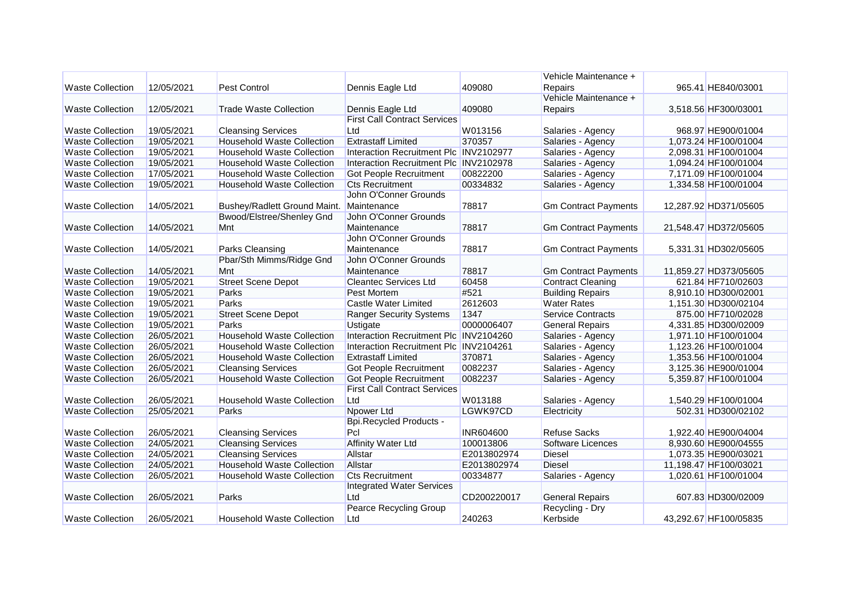|                         |            |                                   |                                        |             | Vehicle Maintenance +       |                       |
|-------------------------|------------|-----------------------------------|----------------------------------------|-------------|-----------------------------|-----------------------|
| <b>Waste Collection</b> | 12/05/2021 | <b>Pest Control</b>               | Dennis Eagle Ltd                       | 409080      | Repairs                     | 965.41 HE840/03001    |
|                         |            |                                   |                                        |             | Vehicle Maintenance +       |                       |
| <b>Waste Collection</b> | 12/05/2021 | <b>Trade Waste Collection</b>     | Dennis Eagle Ltd                       | 409080      | Repairs                     | 3,518.56 HF300/03001  |
|                         |            |                                   | <b>First Call Contract Services</b>    |             |                             |                       |
| <b>Waste Collection</b> | 19/05/2021 | <b>Cleansing Services</b>         | Ltd                                    | W013156     | Salaries - Agency           | 968.97 HE900/01004    |
| <b>Waste Collection</b> | 19/05/2021 | <b>Household Waste Collection</b> | <b>Extrastaff Limited</b>              | 370357      | Salaries - Agency           | 1,073.24 HF100/01004  |
| <b>Waste Collection</b> | 19/05/2021 | <b>Household Waste Collection</b> | Interaction Recruitment Plc INV2102977 |             | Salaries - Agency           | 2,098.31 HF100/01004  |
| <b>Waste Collection</b> | 19/05/2021 | <b>Household Waste Collection</b> | Interaction Recruitment Plc INV2102978 |             | Salaries - Agency           | 1,094.24 HF100/01004  |
| <b>Waste Collection</b> | 17/05/2021 | <b>Household Waste Collection</b> | <b>Got People Recruitment</b>          | 00822200    | Salaries - Agency           | 7,171.09 HF100/01004  |
| <b>Waste Collection</b> | 19/05/2021 | <b>Household Waste Collection</b> | <b>Cts Recruitment</b>                 | 00334832    | Salaries - Agency           | 1,334.58 HF100/01004  |
|                         |            |                                   | John O'Conner Grounds                  |             |                             |                       |
| <b>Waste Collection</b> | 14/05/2021 | Bushey/Radlett Ground Maint.      | Maintenance                            | 78817       | <b>Gm Contract Payments</b> | 12,287.92 HD371/05605 |
|                         |            | <b>Bwood/Elstree/Shenley Gnd</b>  | John O'Conner Grounds                  |             |                             |                       |
| <b>Waste Collection</b> | 14/05/2021 | Mnt                               | Maintenance                            | 78817       | <b>Gm Contract Payments</b> | 21,548.47 HD372/05605 |
|                         |            |                                   | John O'Conner Grounds                  |             |                             |                       |
| <b>Waste Collection</b> | 14/05/2021 | Parks Cleansing                   | Maintenance                            | 78817       | <b>Gm Contract Payments</b> | 5,331.31 HD302/05605  |
|                         |            | Pbar/Sth Mimms/Ridge Gnd          | John O'Conner Grounds                  |             |                             |                       |
| <b>Waste Collection</b> | 14/05/2021 | Mnt                               | Maintenance                            | 78817       | <b>Gm Contract Payments</b> | 11,859.27 HD373/05605 |
| <b>Waste Collection</b> | 19/05/2021 | <b>Street Scene Depot</b>         | <b>Cleantec Services Ltd</b>           | 60458       | <b>Contract Cleaning</b>    | 621.84 HF710/02603    |
| <b>Waste Collection</b> | 19/05/2021 | <b>Parks</b>                      | Pest Mortem                            | #521        | <b>Building Repairs</b>     | 8,910.10 HD300/02001  |
| <b>Waste Collection</b> | 19/05/2021 | Parks                             | Castle Water Limited                   | 2612603     | <b>Water Rates</b>          | 1,151.30 HD300/02104  |
| <b>Waste Collection</b> | 19/05/2021 | <b>Street Scene Depot</b>         | <b>Ranger Security Systems</b>         | 1347        | <b>Service Contracts</b>    | 875.00 HF710/02028    |
| <b>Waste Collection</b> | 19/05/2021 | Parks                             | Ustigate                               | 0000006407  | <b>General Repairs</b>      | 4,331.85 HD300/02009  |
| <b>Waste Collection</b> | 26/05/2021 | <b>Household Waste Collection</b> | Interaction Recruitment Plc INV2104260 |             | Salaries - Agency           | 1,971.10 HF100/01004  |
| <b>Waste Collection</b> | 26/05/2021 | <b>Household Waste Collection</b> | Interaction Recruitment Plc INV2104261 |             | Salaries - Agency           | 1,123.26 HF100/01004  |
| <b>Waste Collection</b> | 26/05/2021 | <b>Household Waste Collection</b> | <b>Extrastaff Limited</b>              | 370871      | Salaries - Agency           | 1,353.56 HF100/01004  |
| <b>Waste Collection</b> | 26/05/2021 | <b>Cleansing Services</b>         | <b>Got People Recruitment</b>          | 0082237     | Salaries - Agency           | 3,125.36 HE900/01004  |
| <b>Waste Collection</b> | 26/05/2021 | <b>Household Waste Collection</b> | <b>Got People Recruitment</b>          | 0082237     | Salaries - Agency           | 5,359.87 HF100/01004  |
|                         |            |                                   | <b>First Call Contract Services</b>    |             |                             |                       |
| <b>Waste Collection</b> | 26/05/2021 | <b>Household Waste Collection</b> | Ltd                                    | W013188     | Salaries - Agency           | 1,540.29 HF100/01004  |
| <b>Waste Collection</b> | 25/05/2021 | Parks                             | <b>Npower Ltd</b>                      | LGWK97CD    | Electricity                 | 502.31 HD300/02102    |
|                         |            |                                   | <b>Bpi.Recycled Products -</b>         |             |                             |                       |
| <b>Waste Collection</b> | 26/05/2021 | <b>Cleansing Services</b>         | Pcl                                    | INR604600   | <b>Refuse Sacks</b>         | 1,922.40 HE900/04004  |
| <b>Waste Collection</b> | 24/05/2021 | <b>Cleansing Services</b>         | <b>Affinity Water Ltd</b>              | 100013806   | Software Licences           | 8,930.60 HE900/04555  |
| <b>Waste Collection</b> | 24/05/2021 | <b>Cleansing Services</b>         | Allstar                                | E2013802974 | <b>Diesel</b>               | 1,073.35 HE900/03021  |
| <b>Waste Collection</b> | 24/05/2021 | <b>Household Waste Collection</b> | Allstar                                | E2013802974 | <b>Diesel</b>               | 11,198.47 HF100/03021 |
| <b>Waste Collection</b> | 26/05/2021 | <b>Household Waste Collection</b> | <b>Cts Recruitment</b>                 | 00334877    | Salaries - Agency           | 1,020.61 HF100/01004  |
|                         |            |                                   | <b>Integrated Water Services</b>       |             |                             |                       |
| <b>Waste Collection</b> | 26/05/2021 | Parks                             | Ltd                                    | CD200220017 | <b>General Repairs</b>      | 607.83 HD300/02009    |
|                         |            |                                   | <b>Pearce Recycling Group</b>          |             | Recycling - Dry             |                       |
| <b>Waste Collection</b> | 26/05/2021 | <b>Household Waste Collection</b> | Ltd                                    | 240263      | Kerbside                    | 43.292.67 HF100/05835 |